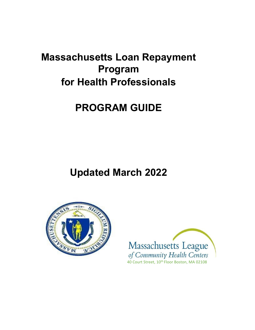# **Massachusetts Loan Repayment Program for Health Professionals**

# **PROGRAM GUIDE**

**Updated March 2022**



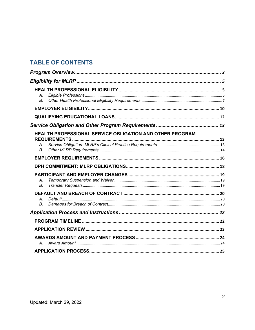## **TABLE OF CONTENTS**

| $\mathcal{A}_{-}$<br>В. |                                                                 |  |
|-------------------------|-----------------------------------------------------------------|--|
|                         |                                                                 |  |
|                         |                                                                 |  |
|                         |                                                                 |  |
| Α.<br>$B_{\cdot}$       | <b>HEALTH PROFESSIONAL SERVICE OBLIGATION AND OTHER PROGRAM</b> |  |
|                         |                                                                 |  |
|                         |                                                                 |  |
| А.<br>В.                |                                                                 |  |
| $\mathcal{A}_{-}$<br>В. |                                                                 |  |
|                         |                                                                 |  |
|                         |                                                                 |  |
|                         |                                                                 |  |
| А.                      |                                                                 |  |
|                         |                                                                 |  |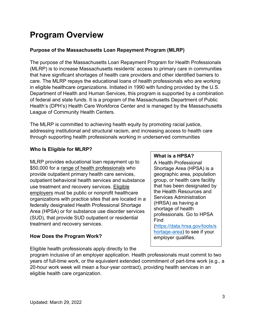# <span id="page-2-0"></span>**Program Overview**

## **Purpose of the Massachusetts Loan Repayment Program (MLRP)**

The purpose of the Massachusetts Loan Repayment Program for Health Professionals (MLRP) is to increase Massachusetts residents' access to primary care in communities that have significant shortages of health care providers and other identified barriers to care. The MLRP repays the educational loans of health professionals who are working in eligible healthcare organizations. Initiated in 1990 with funding provided by the U.S. Department of Health and Human Services, this program is supported by a combination of federal and state funds. It is a program of the Massachusetts Department of Public Health's (DPH's) Health Care Workforce Center and is managed by the Massachusetts League of Community Health Centers.

The MLRP is committed to achieving health equity by promoting racial justice, addressing institutional and structural racism, and increasing access to health care through supporting health professionals working in underserved communities

## **Who Is Eligible for MLRP?**

MLRP provides educational loan repayment up to \$50,000 for a range of health professionals who provide outpatient primary health care services, outpatient behavioral health services and substance use treatment and recovery services. Eligible employers must be public or nonprofit healthcare organizations with practice sites that are located in a federally designated Health Professional Shortage Area (HPSA) or for substance use disorder services (SUD), that provide SUD outpatient or residential treatment and recovery services.

## **How Does the Program Work?**

Eligible health professionals apply directly to the

## program inclusive of an employer application. Health professionals must commit to two years of full-time work, or the equivalent extended commitment of part-time work (e.g., a eligible health care organization.

20-hour work week will mean a four-year contract), providing health services in an

## **What is a HPSA?**

A Health Professional Shortage Area (HPSA) is a geographic area, population group, or health care facility that has been designated by the Health Resources and Services Administration (HRSA) as having a shortage of health professionals. Go to HPSA Find [\(https://data.hrsa.gov/tools/s](https://data.hrsa.gov/tools/shortage-area) [hortage-area\)](https://data.hrsa.gov/tools/shortage-area) to see if your employer qualifies.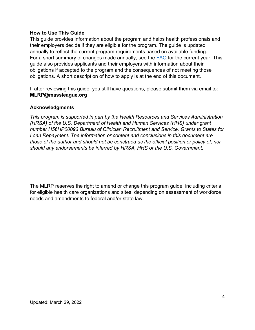#### **How to Use This Guide**

This guide provides information about the program and helps health professionals and their employers decide if they are eligible for the program. The guide is updated annually to reflect the current program requirements based on available funding. For a short summary of changes made annually, see the [FAQ](https://massleague.org/Programs/WorkforceDevelopment/2022MLRPFAQs.pdf) for the current year. This guide also provides applicants and their employers with information about their obligations if accepted to the program and the consequences of not meeting those obligations. A short description of how to apply is at the end of this document.

If after reviewing this guide, you still have questions, please submit them via email to: **MLRP@massleague.org**

#### **Acknowledgments**

*This program is supported in part by the Health Resources and Services Administration (HRSA) of the U.S. Department of Health and Human Services (HHS) under grant number H56HP00093 Bureau of Clinician Recruitment and Service, Grants to States for Loan Repayment. The information or content and conclusions in this document are those of the author and should not be construed as the official position or policy of, nor should any endorsements be inferred by HRSA, HHS or the U.S. Government.* 

The MLRP reserves the right to amend or change this program guide, including criteria for eligible health care organizations and sites, depending on assessment of workforce needs and amendments to federal and/or state law.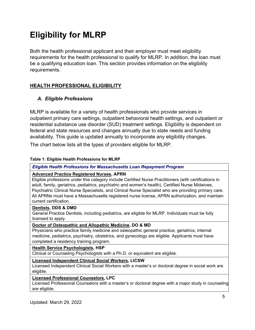# <span id="page-4-0"></span>**Eligibility for MLRP**

Both the health professional applicant and their employer must meet eligibility requirements for the health professional to qualify for MLRP. In addition, the loan must be a qualifying education loan. This section provides information on the eligibility requirements.

## <span id="page-4-1"></span>**HEALTH PROFESSIONAL ELIGIBILITY**

## <span id="page-4-2"></span>*A. Eligible Professions*

MLRP is available for a variety of health professionals who provide services in outpatient primary care settings, outpatient behavioral health settings, and outpatient or residential substance use disorder (SUD) treatment settings. Eligibility is dependent on federal and state resources and changes annually due to state needs and funding availability. This guide is updated annually to incorporate any eligibility changes.

The chart below lists all the types of providers eligible for MLRP.

#### **Table 1: Eligible Health Professions for MLRP**

#### *Eligible Health Professions for Massachusetts Loan Repayment Program*

#### **Advanced Practice Registered Nurses, APRN**

Eligible professions under this category include Certified Nurse Practitioners (with certifications in adult, family, geriatrics, pediatrics, psychiatric and women's health), Certified Nurse Midwives, Psychiatric Clinical Nurse Specialists, and Clinical Nurse Specialist who are providing primary care. All APRNs must have a Massachusetts registered nurse license, APRN authorization, and maintain current certification.

#### **Dentists, DDS & DMD**

General Practice Dentists, including pediatrics, are eligible for MLRP. Individuals must be fully licensed to apply.

#### **Doctor of Osteopathic and Allopathic Medicine, DO & MD**

Physicians who practice family medicine and osteopathic general practice, geriatrics, internal medicine, pediatrics, psychiatry, obstetrics, and gynecology are eligible. Applicants must have completed a residency training program.

#### **Health Service Psychologists, HSP**

Clinical or Counseling Psychologists with a Ph.D. or equivalent are eligible.

#### **Licensed Independent Clinical Social Workers, LICSW**

Licensed Independent Clinical Social Workers with a master's or doctoral degree in social work are eligible.

#### **Licensed Professional Counselors, LPC**

Licensed Professional Counselors with a master's or doctoral degree with a major study in counseling are eligible.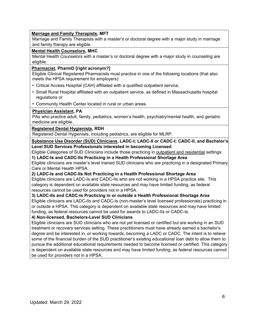#### **Marriage and Family Therapists, MFT**

Marriage and Family Therapists with a master's or doctoral degree with a major study in marriage and family therapy are eligible.

#### **Mental Health Counselors, MHC**

Mental Health Counselors with a master's or doctoral degree with a major study in counseling are eligible.

#### **Pharmacist, PharmD [right acronym?]**

Eligible Clinical Registered Pharmacists must practice in one of the following locations (that also meets the HPSA requirement for employers):

- Critical Access Hospital (CAH) affiliated with a qualified outpatient service,
- Small Rural Hospital affiliated with an outpatient service, as defined in Massachusetts hospital regulations or
- Community Health Center located in rural or urban areas.

#### **Physician Assistant, PA**

PAs who practice adult, family, pediatrics, women's health, psychiatry/mental health, and geriatric medicine are eligible.

#### **Registered Dental Hygienists, RDH**

Registered Dental Hygienists, including pediatrics, are eligible for MLRP.

**Substance Use Disorder (SUD) Clinicians, LADC-I; LADC-II or CADC-I; CADC-II, and Bachelor's Level SUD Services Professionals interested in becoming Licensed**

Eligible Categories of SUD Clinicians include those practicing in outpatient and residential settings: **1) LADC-Is and CADC-IIs Practicing in a Health Professional Shortage Area** 

Eligible clinicians are master's level trained SUD clinicians who are practicing in a designated Primary Care or Mental Health HPSA.

#### **2) LADC-Is and CADC-IIs Not Practicing in a Health Professional Shortage Area**

Eligible clinicians are LADC-Is and CADC-IIs who are not working in a HPSA practice site. This category is dependent on available state resources and may have limited funding, as federal resources cannot be used for providers not in a HPSA.

#### **3) LADC-IIs and CADC-Is Practicing in or outside a Health Professional Shortage Area**

Eligible clinicians are LADC-IIs and CADC-Is (non-master's level licensed professionals) practicing in or outside a HPSA. This category is dependent on available state resources and may have limited funding, as federal resources cannot be used for awards to LADC-IIs or CADC-Is.

#### **4) Non-licensed, Bachelors-Level SUD Clinicians**

Eligible clinicians are SUD clinicians who are not yet licensed or certified but are working in an SUD treatment or recovery services setting. These practitioners must have already earned a bachelor's degree and be interested in, or working towards, becoming a LADC or CADC. The intent is to relieve some of the financial burden of the SUD practitioner's existing educational loan debt to allow them to pursue the additional educational requirements needed to become licensed or certified. This category is dependent on available state resources and may have limited funding, as federal resources cannot be used for providers not in a HPSA.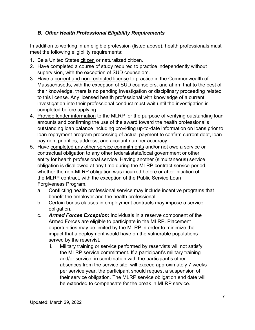## <span id="page-6-0"></span>*B. Other Health Professional Eligibility Requirements*

In addition to working in an eligible profession (listed above), health professionals must meet the following eligibility requirements:

- 1. Be a United States citizen or naturalized citizen.
- 2. Have completed a course of study required to practice independently without supervision, with the exception of SUD counselors.
- 3. Have a current and non-restricted license to practice in the Commonwealth of Massachusetts, with the exception of SUD counselors, and affirm that to the best of their knowledge, there is no pending investigation or disciplinary proceeding related to this license. Any licensed health professional with knowledge of a current investigation into their professional conduct must wait until the investigation is completed before applying.
- 4. Provide lender information to the MLRP for the purpose of verifying outstanding loan amounts and confirming the use of the award toward the health professional's outstanding loan balance including providing up-to-date information on loans prior to loan repayment program processing of actual payment to confirm current debt, loan payment priorities, address, and account number accuracy.
- 5. Have completed any other service commitments and/or not owe a service or contractual obligation to any other federal/state/local government or other entity for health professional service. Having another (simultaneous) service obligation is disallowed at any time during the MLRP contract service-period, whether the non-MLRP obligation was incurred before or after initiation of the MLRP contract, with the exception of the Public Service Loan Forgiveness Program.
	- a. Conflicting health professional service may include incentive programs that benefit the employer and the health professional.
	- b. Certain bonus clauses in employment contracts may impose a service obligation.
	- c. *Armed Forces Exception:* Individuals in a reserve component of the Armed Forces are eligible to participate in the MLRP. Placement opportunities may be limited by the MLRP in order to minimize the impact that a deployment would have on the vulnerable populations served by the reservist.
		- i. Military training or service performed by reservists will not satisfy the MLRP service commitment. If a participant's military training and/or service, in combination with the participant's other absences from the service site, will exceed approximately 7 weeks per service year, the participant should request a suspension of their service obligation. The MLRP service obligation end date will be extended to compensate for the break in MLRP service.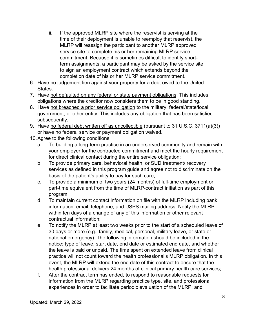- ii. If the approved MLRP site where the reservist is serving at the time of their deployment is unable to reemploy that reservist, the MLRP will reassign the participant to another MLRP approved service site to complete his or her remaining MLRP service commitment. Because it is sometimes difficult to identify shortterm assignments, a participant may be asked by the service site to sign an employment contract which extends beyond the completion date of his or her MLRP service commitment.
- 6. Have no judgement lien against your property for a debt owed to the United States.
- 7. Have not defaulted on any federal or state payment obligations. This includes obligations where the creditor now considers them to be in good standing.
- 8. Have not breached a prior service obligation to the military, federal/state/local government, or other entity. This includes any obligation that has been satisfied subsequently.
- 9. Have no federal debt written off as uncollectible (pursuant to 31 U.S.C. 3711(a)(3)) or have no federal service or payment obligation waived.
- 10.Agree to the following conditions:
	- a. To building a long-term practice in an underserved community and remain with your employer for the contracted commitment and meet the hourly requirement for direct clinical contact during the entire service obligation;
	- b. To provide primary care, behavioral health, or SUD treatment/ recovery services as defined in this program guide and agree not to discriminate on the basis of the patient's ability to pay for such care;
	- c. To provide a minimum of two years (24 months) of full-time employment or part-time equivalent from the time of MLRP-contract initiation as part of this program;
	- d. To maintain current contact information on file with the MLRP including bank information, email, telephone, and USPS mailing address. Notify the MLRP within ten days of a change of any of this information or other relevant contractual information;
	- e. To notify the MLRP at least two weeks prior to the start of a scheduled leave of 30 days or more (e.g., family, medical, personal, military leave, or state or national emergency). The following information should be included in the notice: type of leave, start date, end date or estimated end date, and whether the leave is paid or unpaid. The time spent on extended leave from clinical practice will not count toward the health professional's MLRP obligation. In this event, the MLRP will extend the end date of this contract to ensure that the health professional delivers 24 months of clinical primary health care services;
	- f. After the contract term has ended, to respond to reasonable requests for information from the MLRP regarding practice type, site, and professional experiences in order to facilitate periodic evaluation of the MLRP; and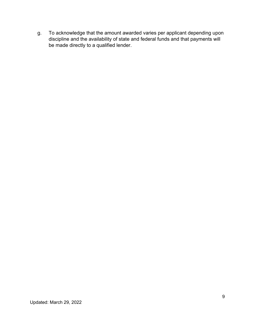g. To acknowledge that the amount awarded varies per applicant depending upon discipline and the availability of state and federal funds and that payments will be made directly to a qualified lender.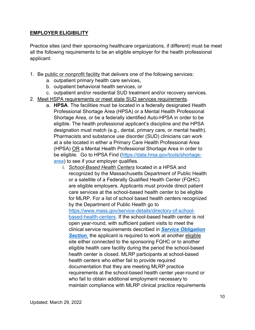### <span id="page-9-0"></span>**EMPLOYER ELIGIBILITY**

Practice sites (and their sponsoring healthcare organizations, if different) must be meet all the following requirements to be an eligible employer for the health professional applicant:

- 1. Be public or nonprofit facility that delivers one of the following services:
	- a. outpatient primary health care services,
	- b. outpatient behavioral health services, or
	- c. outpatient and/or residential SUD treatment and/or recovery services.
- 2. Meet HSPA requirements or meet state SUD services requirements.
	- a. **HPSA**. The facilities must be located in a federally designated Health Professional Shortage Area (HPSA) or a Mental Health Professional Shortage Area, or be a federally identified Auto-HPSA in order to be eligible. The health professional applicant's discipline and the HPSA designation must match (e.g., dental, primary care, or mental health). Pharmacists and substance use disorder (SUD) clinicians can work at a site located in either a Primary Care Health Professional Area (HPSA) OR a Mental Health Professional Shortage Area in order to be eligible. Go to HPSA Find [\(https://data.hrsa.gov/tools/shortage](https://data.hrsa.gov/tools/shortage-area)[area\)](https://data.hrsa.gov/tools/shortage-area) to see if your employer qualifies.
		- i. *School-Based Health Centers* located in a HPSA and recognized by the Massachusetts Department of Public Health or a satellite of a Federally Qualified Health Center (FQHC) are eligible employers. Applicants must provide direct patient care services at the school-based health center to be eligible for MLRP. For a list of school based health centers recognized by the Department of Public Health go t[o](https://www.mass.gov/service-details/directory-of-school-based-health-centers) [https://www.mass.gov/service-details/directory-of-school](https://www.mass.gov/service-details/directory-of-school-based-health-centers)[based-health-centers.](https://www.mass.gov/service-details/directory-of-school-based-health-centers) If the school-based health center is not open year-round, with sufficient patient visits to meet the clinical service requirements described in *[Service Obligation](#page-12-1)*  **[Section](#page-12-1)**, the applicant is required to work at another eligible site either connected to the sponsoring FQHC or to another eligible health care facility during the period the school-based health center is closed. MLRP participants at school-based health centers who either fail to provide required documentation that they are meeting MLRP practice requirements at the school-based health center year-round or who fail to obtain additional employment necessary to maintain compliance with MLRP clinical practice requirements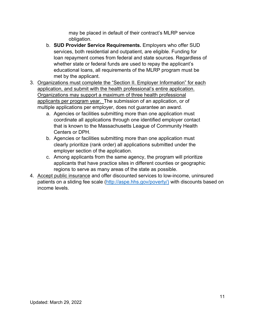may be placed in default of their contract's MLRP service obligation.

- b. **SUD Provider Service Requirements.** Employers who offer SUD services, both residential and outpatient, are eligible. Funding for loan repayment comes from federal and state sources. Regardless of whether state or federal funds are used to repay the applicant's educational loans, all requirements of the MLRP program must be met by the applicant.
- 3. Organizations must complete the "Section II. Employer Information" for each application, and submit with the health professional's entire application. Organizations may support a maximum of three health professional applicants per program year. The submission of an application, or of multiple applications per employer, does not guarantee an award.
	- a. Agencies or facilities submitting more than one application must coordinate all applications through one identified employer contact that is known to the Massachusetts League of Community Health Centers or DPH.
	- b. Agencies or facilities submitting more than one application must clearly prioritize (rank order) all applications submitted under the employer section of the application.
	- c. Among applicants from the same agency, the program will prioritize applicants that have practice sites in different counties or geographic regions to serve as many areas of the state as possible.
- 4. Accept public insurance and offer discounted services to low-income, uninsured patients on a sliding fee scale [\(http://aspe.hhs.gov/poverty/\)](http://aspe.hhs.gov/poverty/) with discounts based on income levels.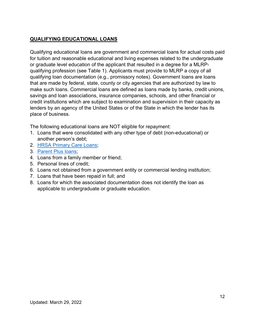## <span id="page-11-0"></span>**QUALIFYING EDUCATIONAL LOANS**

Qualifying educational loans are government and commercial loans for actual costs paid for tuition and reasonable educational and living expenses related to the undergraduate or graduate level education of the applicant that resulted in a degree for a MLRPqualifying profession (see Table 1). Applicants must provide to MLRP a copy of all qualifying loan documentation (e.g., promissory notes). Government loans are loans that are made by federal, state, county or city agencies that are authorized by law to make such loans. Commercial loans are defined as loans made by banks, credit unions, savings and loan associations, insurance companies, schools, and other financial or credit institutions which are subject to examination and supervision in their capacity as lenders by an agency of the United States or of the State in which the lender has its place of business.

The following educational loans are NOT eligible for repayment:

- 1. Loans that were consolidated with any other type of debt (non-educational) or another person's debt;
- 2. [HRSA Primary Care Loans;](http://www.hrsa.gov/loanscholarships/loans/primarycare.html)
- 3. [Parent Plus loans;](https://studentaid.gov/understand-aid/types/loans/plus/parent)
- 4. Loans from a family member or friend;
- 5. Personal lines of credit;
- 6. Loans not obtained from a government entity or commercial lending institution;
- 7. Loans that have been repaid in full; and
- 8. Loans for which the associated documentation does not identify the loan as applicable to undergraduate or graduate education.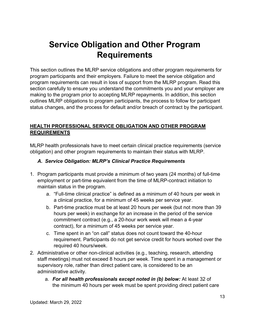# <span id="page-12-0"></span>**Service Obligation and Other Program Requirements**

This section outlines the MLRP service obligations and other program requirements for program participants and their employers. Failure to meet the service obligation and program requirements can result in loss of support from the MLRP program. Read this section carefully to ensure you understand the commitments you and your employer are making to the program prior to accepting MLRP repayments. In addition, this section outlines MLRP obligations to program participants, the process to follow for participant status changes, and the process for default and/or breach of contract by the participant.

## <span id="page-12-1"></span>**HEALTH PROFESSIONAL SERVICE OBLIGATION AND OTHER PROGRAM REQUIREMENTS**

MLRP health professionals have to meet certain clinical practice requirements (service obligation) and other program requirements to maintain their status with MLRP.

## <span id="page-12-2"></span>*A. Service Obligation: MLRP's Clinical Practice Requirements*

- 1. Program participants must provide a minimum of two years (24 months) of full-time employment or part-time equivalent from the time of MLRP-contract initiation to maintain status in the program.
	- a. "Full-time clinical practice" is defined as a minimum of 40 hours per week in a clinical practice, for a minimum of 45 weeks per service year.
	- b. Part-time practice must be at least 20 hours per week (but not more than 39 hours per week) in exchange for an increase in the period of the service commitment contract (e.g., a 20-hour work week will mean a 4-year contract), for a minimum of 45 weeks per service year.
	- c. Time spent in an "on call" status does not count toward the 40-hour requirement. Participants do not get service credit for hours worked over the required 40 hours/week.
- 2. Administrative or other non-clinical activities (e.g., teaching, research, attending staff meetings) must not exceed 8 hours per week. Time spent in a management or supervisory role, rather than direct patient care, is considered to be an administrative activity.
	- a. *For all health professionals except noted in (b) below:* At least 32 of the minimum 40 hours per week must be spent providing direct patient care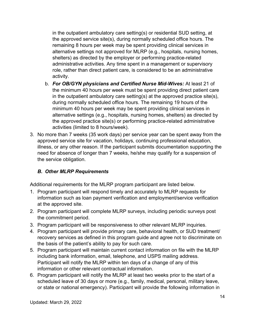in the outpatient ambulatory care setting(s) or residential SUD setting, at the approved service site(s), during normally scheduled office hours. The remaining 8 hours per week may be spent providing clinical services in alternative settings not approved for MLRP (e.g., hospitals, nursing homes, shelters) as directed by the employer or performing practice-related administrative activities. Any time spent in a management or supervisory role, rather than direct patient care, is considered to be an administrative activity.

- b. *For OB/GYN physicians and Certified Nurse Mid-Wives:* At least 21 of the minimum 40 hours per week must be spent providing direct patient care in the outpatient ambulatory care setting(s) at the approved practice site(s), during normally scheduled office hours. The remaining 19 hours of the minimum 40 hours per week may be spent providing clinical services in alternative settings (e.g., hospitals, nursing homes, shelters) as directed by the approved practice site(s) or performing practice-related administrative activities (limited to 8 hours/week).
- 3. No more than 7 weeks (35 work days) per service year can be spent away from the approved service site for vacation, holidays, continuing professional education, illness, or any other reason. If the participant submits documentation supporting the need for absence of longer than 7 weeks, he/she may qualify for a suspension of the service obligation.

## <span id="page-13-0"></span>*B. Other MLRP Requirements*

Additional requirements for the MLRP program participant are listed below.

- 1. Program participant will respond timely and accurately to MLRP requests for information such as loan payment verification and employment/service verification at the approved site.
- 2. Program participant will complete MLRP surveys, including periodic surveys post the commitment period.
- 3. Program participant will be responsiveness to other relevant MLRP inquiries.
- 4. Program participant will provide primary care, behavioral health, or SUD treatment/ recovery services as defined in this program guide and agree not to discriminate on the basis of the patient's ability to pay for such care.
- 5. Program participant will maintain current contact information on file with the MLRP including bank information, email, telephone, and USPS mailing address. Participant will notify the MLRP within ten days of a change of any of this information or other relevant contractual information.
- 6. Program participant will notify the MLRP at least two weeks prior to the start of a scheduled leave of 30 days or more (e.g., family, medical, personal, military leave, or state or national emergency). Participant will provide the following information in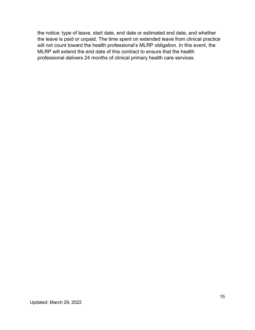the notice: type of leave, start date, end date or estimated end date, and whether the leave is paid or unpaid. The time spent on extended leave from clinical practice will not count toward the health professional's MLRP obligation. In this event, the MLRP will extend the end date of this contract to ensure that the health professional delivers 24 months of clinical primary health care services.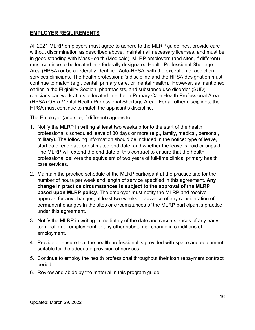## <span id="page-15-0"></span>**EMPLOYER REQUIREMENTS**

All 2021 MLRP employers must agree to adhere to the MLRP guidelines, provide care without discrimination as described above, maintain all necessary licenses, and must be in good standing with MassHealth (Medicaid). MLRP employers (and sites, if different) must continue to be located in a federally designated Health Professional Shortage Area (HPSA) or be a federally identified Auto-HPSA, with the exception of addiction services clinicians. The health professional's discipline and the HPSA designation must continue to match (e.g., dental, primary care, or mental health). However, as mentioned earlier in the Eligibility Section, pharmacists, and substance use disorder (SUD) clinicians can work at a site located in either a Primary Care Health Professional Area (HPSA) OR a Mental Health Professional Shortage Area. For all other disciplines, the HPSA must continue to match the applicant's discipline.

The Employer (and site, if different) agrees to:

- 1. Notify the MLRP in writing at least two weeks prior to the start of the health professional's scheduled leave of 30 days or more (e.g., family, medical, personal, military). The following information should be included in the notice: type of leave, start date, end date or estimated end date, and whether the leave is paid or unpaid. The MLRP will extend the end date of this contract to ensure that the health professional delivers the equivalent of two years of full-time clinical primary health care services.
- 2. Maintain the practice schedule of the MLRP participant at the practice site for the number of hours per week and length of service specified in this agreement. **Any change in practice circumstances is subject to the approval of the MLRP based upon MLRP policy**. The employer must notify the MLRP and receive approval for any changes, at least two weeks in advance of any consideration of permanent changes in the sites or circumstances of the MLRP participant's practice under this agreement.
- 3. Notify the MLRP in writing immediately of the date and circumstances of any early termination of employment or any other substantial change in conditions of employment.
- 4. Provide or ensure that the health professional is provided with space and equipment suitable for the adequate provision of services.
- 5. Continue to employ the health professional throughout their loan repayment contract period.
- 6. Review and abide by the material in this program guide.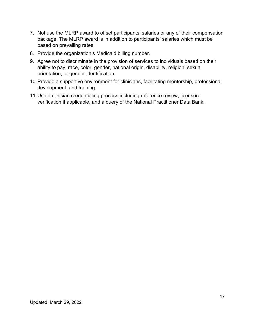- 7. Not use the MLRP award to offset participants' salaries or any of their compensation package. The MLRP award is in addition to participants' salaries which must be based on prevailing rates.
- 8. Provide the organization's Medicaid billing number.
- 9. Agree not to discriminate in the provision of services to individuals based on their ability to pay, race, color, gender, national origin, disability, religion, sexual orientation, or gender identification.
- 10.Provide a supportive environment for clinicians, facilitating mentorship, professional development, and training.
- 11.Use a clinician credentialing process including reference review, licensure verification if applicable, and a query of the National Practitioner Data Bank.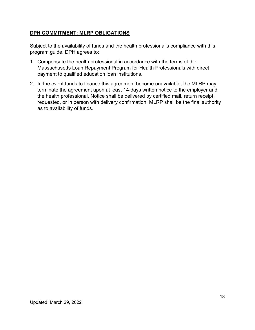## <span id="page-17-0"></span>**DPH COMMITMENT: MLRP OBLIGATIONS**

Subject to the availability of funds and the health professional's compliance with this program guide, DPH agrees to:

- 1. Compensate the health professional in accordance with the terms of the Massachusetts Loan Repayment Program for Health Professionals with direct payment to qualified education loan institutions.
- 2. In the event funds to finance this agreement become unavailable, the MLRP may terminate the agreement upon at least 14-days written notice to the employer and the health professional. Notice shall be delivered by certified mail, return receipt requested, or in person with delivery confirmation. MLRP shall be the final authority as to availability of funds.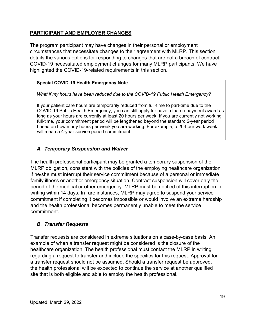## <span id="page-18-0"></span>**PARTICIPANT AND EMPLOYER CHANGES**

The program participant may have changes in their personal or employment circumstances that necessitate changes to their agreement with MLRP. This section details the various options for responding to changes that are not a breach of contract. COVID-19 necessitated employment changes for many MLRP participants. We have highlighted the COVID-19-related requirements in this section.

### **Special COVID-19 Health Emergency Note**

*What if my hours have been reduced due to the COVID-19 Public Health Emergency?* 

If your patient care hours are temporarily reduced from full-time to part-time due to the COVID-19 Public Health Emergency, you can still apply for have a loan repayment award as long as your hours are currently at least 20 hours per week. If you are currently not working full-time, your commitment period will be lengthened beyond the standard 2-year period based on how many hours per week you are working. For example, a 20-hour work week will mean a 4-year service period commitment.

## <span id="page-18-1"></span>*A. Temporary Suspension and Waiver*

The health professional participant may be granted a temporary suspension of the MLRP obligation, consistent with the policies of the employing healthcare organization, if he/she must interrupt their service commitment because of a personal or immediate family illness or another emergency situation. Contract suspension will cover only the period of the medical or other emergency. MLRP must be notified of this interruption in writing within 14 days. In rare instances, MLRP may agree to suspend your service commitment if completing it becomes impossible or would involve an extreme hardship and the health professional becomes permanently unable to meet the service commitment.

## <span id="page-18-2"></span>*B. Transfer Requests*

Transfer requests are considered in extreme situations on a case-by-case basis. An example of when a transfer request might be considered is the closure of the healthcare organization. The health professional must contact the MLRP in writing regarding a request to transfer and include the specifics for this request. Approval for a transfer request should not be assumed. Should a transfer request be approved, the health professional will be expected to continue the service at another qualified site that is both eligible and able to employ the health professional.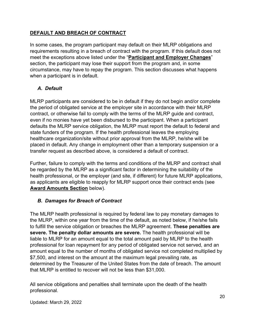## <span id="page-19-0"></span>**DEFAULT AND BREACH OF CONTRACT**

In some cases, the program participant may default on their MLRP obligations and requirements resulting in a breach of contract with the program. If this default does not meet the exceptions above listed under the "**Participant and Employer Changes**" section, the participant may lose their support from the program and, in some circumstance, may have to repay the program. This section discusses what happens when a participant is in default.

## <span id="page-19-1"></span>*A. Default*

MLRP participants are considered to be in default if they do not begin and/or complete the period of obligated service at the employer site in accordance with their MLRP contract, or otherwise fail to comply with the terms of the MLRP guide and contract, even if no monies have yet been disbursed to the participant. When a participant defaults the MLRP service obligation, the MLRP must report the default to federal and state funders of the program. If the health professional leaves the employing healthcare organization/site without prior approval from the MLRP, he/she will be placed in default. Any change in employment other than a temporary suspension or a transfer request as described above, is considered a default of contract.

Further, failure to comply with the terms and conditions of the MLRP and contract shall be regarded by the MLRP as a significant factor in determining the suitability of the health professional, or the employer (and site, if different) for future MLRP applications, as applicants are eligible to reapply for MLRP support once their contract ends (see **Award Amounts Section** below).

## <span id="page-19-2"></span>*B. Damages for Breach of Contract*

The MLRP health professional is required by federal law to pay monetary damages to the MLRP, within one year from the time of the default, as noted below, if he/she fails to fulfill the service obligation or breaches the MLRP agreement. **These penalties are severe. The penalty dollar amounts are severe.** The health professional will be liable to MLRP for an amount equal to the total amount paid by MLRP to the health professional for loan repayment for any period of obligated service not served, and an amount equal to the number of months of obligated service not completed multiplied by \$7,500, and interest on the amount at the maximum legal prevailing rate, as determined by the Treasurer of the United States from the date of breach. The amount that MLRP is entitled to recover will not be less than \$31,000.

All service obligations and penalties shall terminate upon the death of the health professional.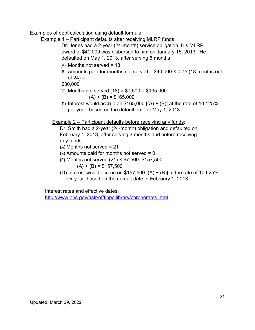Examples of debt calculation using default formula:

Example 1 – Participant defaults after receiving MLRP funds:

Dr. Jones had a 2-year (24-month) service obligation. His MLRP award of \$40,000 was disbursed to him on January 15, 2013. He defaulted on May 1, 2013, after serving 6 months.

- (A) Months not served = 18
- (B) Amounts paid for months not served =  $$40,000 \times 0.75$  (18 months out of 24) =

\$30,000

- (C) Months not served (18) × \$7,500 = \$135,000  $(A) + (B) = $165,000$
- (D) Interest would accrue on  $$165,000$  [(A) + (B)] at the rate of 10.125% per year, based on the default date of May 1, 2013.

Example 2 – Participant defaults before receiving any funds:

Dr. Smith had a 2-year (24-month) obligation and defaulted on February 1, 2013, after serving 3 months and before receiving any funds.

- $(A)$  Months not served = 21
- $(B)$  Amounts paid for months not served = 0
- (C) Months not served (21) × \$7,500=\$157,500  $(A) + (B) = $157,500$
- (D) Interest would accrue on  $$157,500$  [(A) + (B)] at the rate of 10.625% per year, based on the default date of February 1, 2013.

Interest rates and effective dates:

<http://www.hhs.gov/asfr/of/finpollibrary/chronorates.html>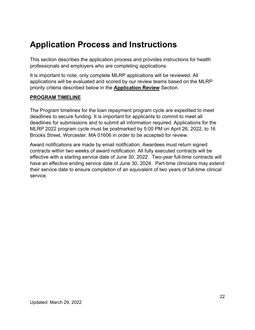## <span id="page-21-0"></span>**Application Process and Instructions**

This section describes the application process and provides instructions for health professionals and employers who are completing applications.

It is important to note, only complete MLRP applications will be reviewed. All applications will be evaluated and scored by our review teams based on the MLRP priority criteria described below in the **Application Review** Section.

#### <span id="page-21-1"></span>**PROGRAM TIMELINE**

The Program timelines for the loan repayment program cycle are expedited to meet deadlines to secure funding. It is important for applicants to commit to meet all deadlines for submissions and to submit all information required. Applications for the MLRP 2022 program cycle must be postmarked by 5:00 PM on April 26, 2022, to 16 Brooks Street, Worcester, MA 01606 in order to be accepted for review.

Award notifications are made by email notification. Awardees must return signed contracts within two weeks of award notification. All fully executed contracts will be effective with a starting service date of June 30, 2022. Two-year full-time contracts will have an effective ending service date of June 30, 2024. Part-time clinicians may extend their service date to ensure completion of an equivalent of two years of full-time clinical service.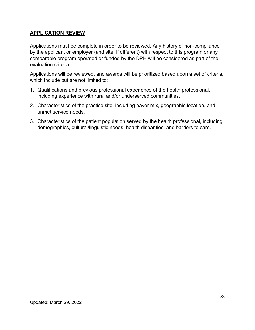## <span id="page-22-0"></span>**APPLICATION REVIEW**

Applications must be complete in order to be reviewed. Any history of non-compliance by the applicant or employer (and site, if different) with respect to this program or any comparable program operated or funded by the DPH will be considered as part of the evaluation criteria.

Applications will be reviewed, and awards will be prioritized based upon a set of criteria, which include but are not limited to:

- 1. Qualifications and previous professional experience of the health professional, including experience with rural and/or underserved communities.
- 2. Characteristics of the practice site, including payer mix, geographic location, and unmet service needs.
- 3. Characteristics of the patient population served by the health professional, including demographics, cultural/linguistic needs, health disparities, and barriers to care.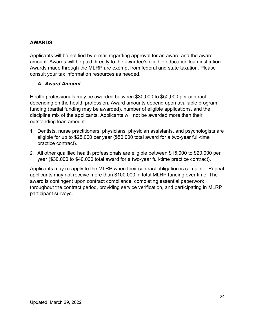## <span id="page-23-0"></span>**AWARDS**

Applicants will be notified by e-mail regarding approval for an award and the award amount. Awards will be paid directly to the awardee's eligible education loan institution. Awards made through the MLRP are exempt from federal and state taxation. Please consult your tax information resources as needed.

## <span id="page-23-1"></span>*A. Award Amount*

Health professionals may be awarded between \$30,000 to \$50,000 per contract depending on the health profession. Award amounts depend upon available program funding (partial funding may be awarded), number of eligible applications, and the discipline mix of the applicants. Applicants will not be awarded more than their outstanding loan amount.

- 1. Dentists, nurse practitioners, physicians, physician assistants, and psychologists are eligible for up to \$25,000 per year (\$50,000 total award for a two-year full-time practice contract).
- 2. All other qualified health professionals are eligible between \$15,000 to \$20,000 per year (\$30,000 to \$40,000 total award for a two-year full-time practice contract).

Applicants may re-apply to the MLRP when their contract obligation is complete. Repeat applicants may not receive more than \$100,000 in total MLRP funding over time. The award is contingent upon contract compliance, completing essential paperwork throughout the contract period, providing service verification, and participating in MLRP participant surveys.